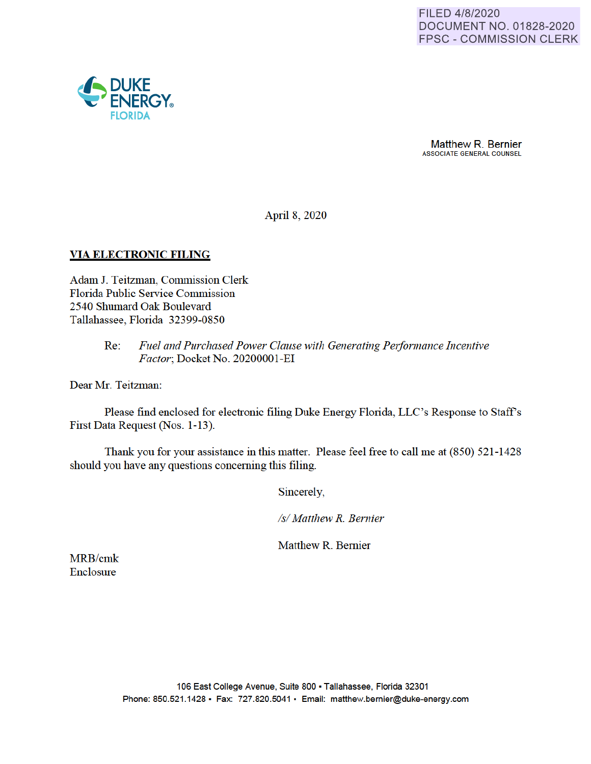

Matthew R. Bernier ASSOCIATE GENERAL COUNSEL

April 8, 2020

### **VIA ELECTRONIC FILING**

Adam J. Teitzman, Commission Clerk Florida Public Service Commission 2540 Shumard Oak Boulevard Tallahassee, Florida 32399-0850

### Re: *Fuel and Purchased Power Clause with Generating Perfonnance Incentive Factor*; Docket No. 20200001-EI

Dear Mr. Teitzman:

Please find enclosed for electronic filing Duke Energy Florida, LLC's Response to Staff's First Data Request (Nos. 1-13).

Thank you for your assistance in this matter. Please feel free to call me at (850) 521-1428 should you have any questions concerning this filing.

Sincerely,

*Isl Matthew R. Bernier* 

Matthew R. Bernier

MRB/cmk Enclosure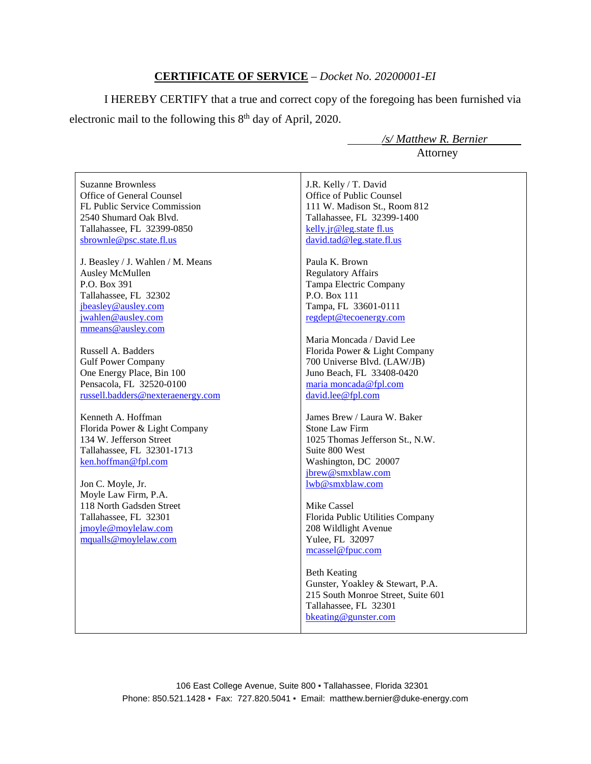### **CERTIFICATE OF SERVICE** – *Docket No. 20200001-EI*

I HEREBY CERTIFY that a true and correct copy of the foregoing has been furnished via electronic mail to the following this  $8<sup>th</sup>$  day of April, 2020.

 */s/ Matthew R. Bernier* Attorney

Suzanne Brownless Office of General Counsel FL Public Service Commission 2540 Shumard Oak Blvd. Tallahassee, FL 32399-0850 sbrownle@psc.state.fl.us

J. Beasley / J. Wahlen / M. Means Ausley McMullen P.O. Box 391 Tallahassee, FL 32302 jbeasley@ausley.com jwahlen@ausley.com mmeans@ausley.com

Russell A. Badders Gulf Power Company One Energy Place, Bin 100 Pensacola, FL 32520-0100 russell.badders@nexteraenergy.com

Kenneth A. Hoffman Florida Power & Light Company 134 W. Jefferson Street Tallahassee, FL 32301-1713 ken.hoffman@fpl.com

Jon C. Moyle, Jr. Moyle Law Firm, P.A. 118 North Gadsden Street Tallahassee, FL 32301 jmoyle@moylelaw.com mqualls@moylelaw.com

J.R. Kelly / T. David Office of Public Counsel 111 W. Madison St., Room 812 Tallahassee, FL 32399-1400 kelly.jr@leg.state fl.us david.tad@leg.state.fl.us

Paula K. Brown Regulatory Affairs Tampa Electric Company P.O. Box 111 Tampa, FL 33601-0111 regdept@tecoenergy.com

Maria Moncada / David Lee Florida Power & Light Company 700 Universe Blvd. (LAW/JB) Juno Beach, FL 33408-0420 maria moncada@fpl.com david.lee@fpl.com

James Brew / Laura W. Baker Stone Law Firm 1025 Thomas Jefferson St., N.W. Suite 800 West Washington, DC 20007 jbrew@smxblaw.com lwb@smxblaw.com

Mike Cassel Florida Public Utilities Company 208 Wildlight Avenue Yulee, FL 32097 mcassel@fpuc.com

Beth Keating Gunster, Yoakley & Stewart, P.A. 215 South Monroe Street, Suite 601 Tallahassee, FL 32301 bkeating@gunster.com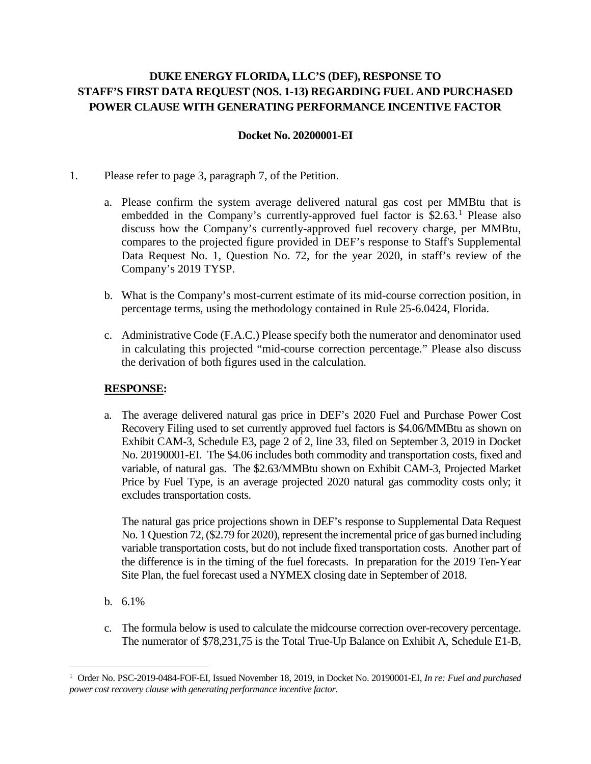# **DUKE ENERGY FLORIDA, LLC'S (DEF), RESPONSE TO STAFF'S FIRST DATA REQUEST (NOS. 1-13) REGARDING FUEL AND PURCHASED POWER CLAUSE WITH GENERATING PERFORMANCE INCENTIVE FACTOR**

### **Docket No. 20200001-EI**

- 1. Please refer to page 3, paragraph 7, of the Petition.
	- a. Please confirm the system average delivered natural gas cost per MMBtu that is embedded in the Company's currently-approved fuel factor is  $$2.63$ <sup>1</sup> Please also discuss how the Company's currently-approved fuel recovery charge, per MMBtu, compares to the projected figure provided in DEF's response to Staff's Supplemental Data Request No. 1, Question No. 72, for the year 2020, in staff's review of the Company's 2019 TYSP.
	- b. What is the Company's most-current estimate of its mid-course correction position, in percentage terms, using the methodology contained in Rule 25-6.0424, Florida.
	- c. Administrative Code (F.A.C.) Please specify both the numerator and denominator used in calculating this projected "mid-course correction percentage." Please also discuss the derivation of both figures used in the calculation.

# **RESPONSE:**

a. The average delivered natural gas price in DEF's 2020 Fuel and Purchase Power Cost Recovery Filing used to set currently approved fuel factors is \$4.06/MMBtu as shown on Exhibit CAM-3, Schedule E3, page 2 of 2, line 33, filed on September 3, 2019 in Docket No. 20190001-EI. The \$4.06 includes both commodity and transportation costs, fixed and variable, of natural gas. The \$2.63/MMBtu shown on Exhibit CAM-3, Projected Market Price by Fuel Type, is an average projected 2020 natural gas commodity costs only; it excludes transportation costs.

The natural gas price projections shown in DEF's response to Supplemental Data Request No. 1 Question 72, (\$2.79 for 2020), represent the incremental price of gas burned including variable transportation costs, but do not include fixed transportation costs. Another part of the difference is in the timing of the fuel forecasts. In preparation for the 2019 Ten-Year Site Plan, the fuel forecast used a NYMEX closing date in September of 2018.

b. 6.1%

 $\overline{a}$ 

c. The formula below is used to calculate the midcourse correction over-recovery percentage. The numerator of \$78,231,75 is the Total True-Up Balance on Exhibit A, Schedule E1-B,

<sup>1</sup> Order No. PSC-2019-0484-FOF-EI, Issued November 18, 2019, in Docket No. 20190001-EI, *In re: Fuel and purchased power cost recovery clause with generating performance incentive factor*.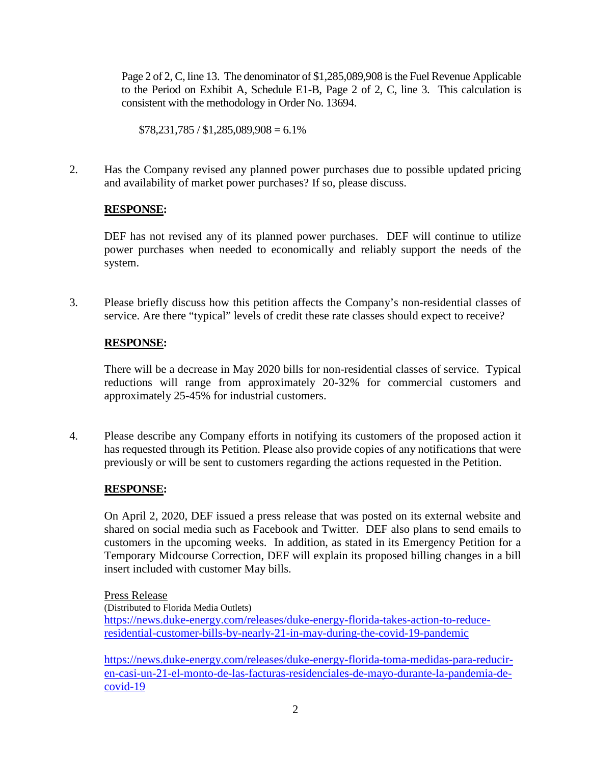Page 2 of 2, C, line 13. The denominator of \$1,285,089,908 is the Fuel Revenue Applicable to the Period on Exhibit A, Schedule E1-B, Page 2 of 2, C, line 3. This calculation is consistent with the methodology in Order No. 13694.

 $$78,231,785 / $1,285,089,908 = 6.1\%$ 

2. Has the Company revised any planned power purchases due to possible updated pricing and availability of market power purchases? If so, please discuss.

# **RESPONSE:**

DEF has not revised any of its planned power purchases. DEF will continue to utilize power purchases when needed to economically and reliably support the needs of the system.

3. Please briefly discuss how this petition affects the Company's non-residential classes of service. Are there "typical" levels of credit these rate classes should expect to receive?

# **RESPONSE:**

There will be a decrease in May 2020 bills for non-residential classes of service. Typical reductions will range from approximately 20-32% for commercial customers and approximately 25-45% for industrial customers.

4. Please describe any Company efforts in notifying its customers of the proposed action it has requested through its Petition. Please also provide copies of any notifications that were previously or will be sent to customers regarding the actions requested in the Petition.

# **RESPONSE:**

On April 2, 2020, DEF issued a press release that was posted on its external website and shared on social media such as Facebook and Twitter. DEF also plans to send emails to customers in the upcoming weeks. In addition, as stated in its Emergency Petition for a Temporary Midcourse Correction, DEF will explain its proposed billing changes in a bill insert included with customer May bills.

Press Release

(Distributed to Florida Media Outlets)

https://news.duke-energy.com/releases/duke-energy-florida-takes-action-to-reduceresidential-customer-bills-by-nearly-21-in-may-during-the-covid-19-pandemic

https://news.duke-energy.com/releases/duke-energy-florida-toma-medidas-para-reduciren-casi-un-21-el-monto-de-las-facturas-residenciales-de-mayo-durante-la-pandemia-decovid-19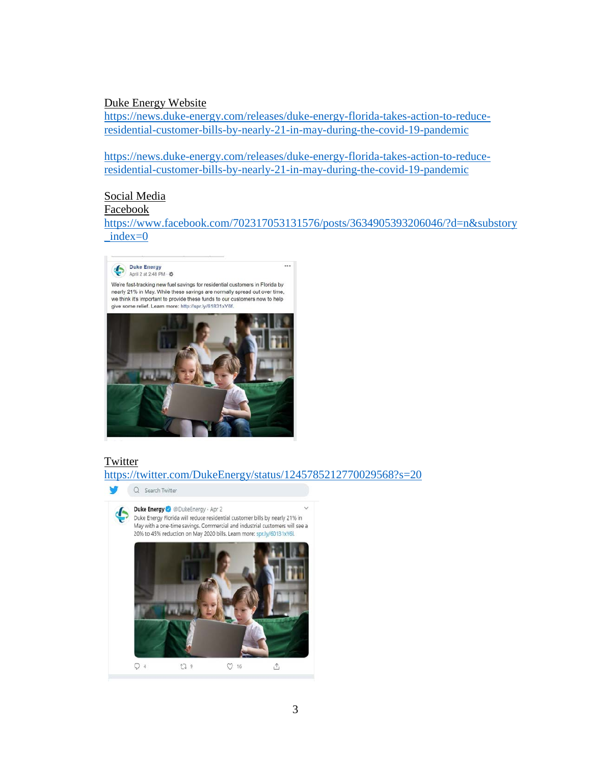#### Duke Energy Website

https://news.duke-energy.com/releases/duke-energy-florida-takes-action-to-reduceresidential-customer-bills-by-nearly-21-in-may-during-the-covid-19-pandemic

https://news.duke-energy.com/releases/duke-energy-florida-takes-action-to-reduceresidential-customer-bills-by-nearly-21-in-may-during-the-covid-19-pandemic

#### Social Media

#### Facebook

https://www.facebook.com/702317053131576/posts/3634905393206046/?d=n&substory  $index=0$ 



### **Twitter**

https://twitter.com/DukeEnergy/status/1245785212770029568?s=20

Q Search Twitter Duke Energy @ @DukeEnergy . Apr 2 Duke Energy Florida will reduce residential customer bills by nearly 21% in May with a one-time savings. Commercial and industrial customers will see a 20% to 45% reduction on May 2020 bills. Learn more: spr.ly/60131xY6I.  $O<sub>4</sub>$  $119$  $O16$  $\Delta$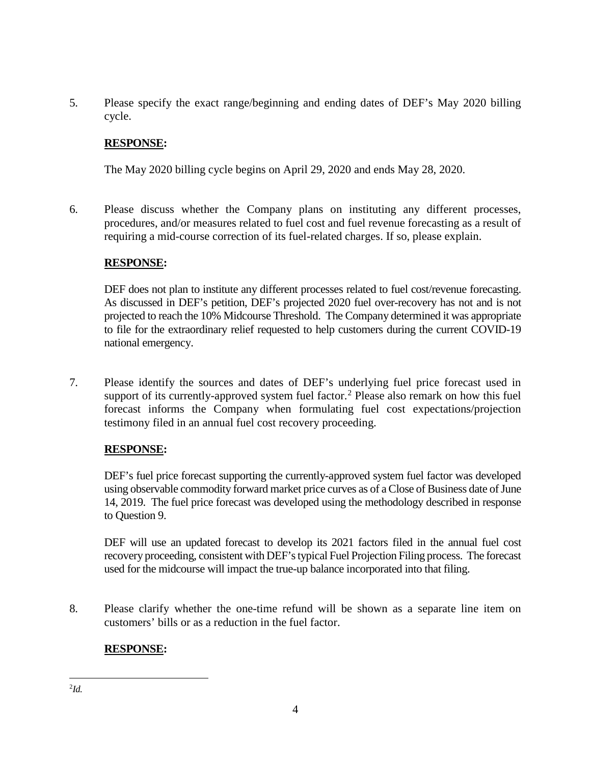5. Please specify the exact range/beginning and ending dates of DEF's May 2020 billing cycle.

# **RESPONSE:**

The May 2020 billing cycle begins on April 29, 2020 and ends May 28, 2020.

6. Please discuss whether the Company plans on instituting any different processes, procedures, and/or measures related to fuel cost and fuel revenue forecasting as a result of requiring a mid-course correction of its fuel-related charges. If so, please explain.

### **RESPONSE:**

DEF does not plan to institute any different processes related to fuel cost/revenue forecasting. As discussed in DEF's petition, DEF's projected 2020 fuel over-recovery has not and is not projected to reach the 10% Midcourse Threshold. The Company determined it was appropriate to file for the extraordinary relief requested to help customers during the current COVID-19 national emergency.

7. Please identify the sources and dates of DEF's underlying fuel price forecast used in support of its currently-approved system fuel factor.<sup>2</sup> Please also remark on how this fuel forecast informs the Company when formulating fuel cost expectations/projection testimony filed in an annual fuel cost recovery proceeding.

# **RESPONSE:**

DEF's fuel price forecast supporting the currently-approved system fuel factor was developed using observable commodity forward market price curves as of a Close of Business date of June 14, 2019. The fuel price forecast was developed using the methodology described in response to Question 9.

DEF will use an updated forecast to develop its 2021 factors filed in the annual fuel cost recovery proceeding, consistent with DEF's typical Fuel Projection Filing process. The forecast used for the midcourse will impact the true-up balance incorporated into that filing.

8. Please clarify whether the one-time refund will be shown as a separate line item on customers' bills or as a reduction in the fuel factor.

# **RESPONSE:**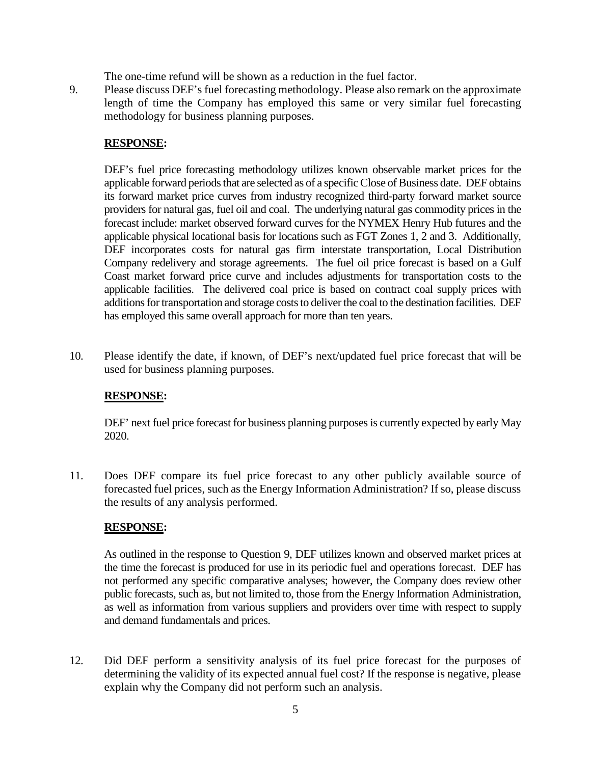The one-time refund will be shown as a reduction in the fuel factor.

9. Please discuss DEF's fuel forecasting methodology. Please also remark on the approximate length of time the Company has employed this same or very similar fuel forecasting methodology for business planning purposes.

## **RESPONSE:**

DEF's fuel price forecasting methodology utilizes known observable market prices for the applicable forward periods that are selected as of a specific Close of Business date. DEF obtains its forward market price curves from industry recognized third-party forward market source providers for natural gas, fuel oil and coal. The underlying natural gas commodity prices in the forecast include: market observed forward curves for the NYMEX Henry Hub futures and the applicable physical locational basis for locations such as FGT Zones 1, 2 and 3. Additionally, DEF incorporates costs for natural gas firm interstate transportation, Local Distribution Company redelivery and storage agreements. The fuel oil price forecast is based on a Gulf Coast market forward price curve and includes adjustments for transportation costs to the applicable facilities. The delivered coal price is based on contract coal supply prices with additions for transportation and storage costs to deliver the coal to the destination facilities. DEF has employed this same overall approach for more than ten years.

10. Please identify the date, if known, of DEF's next/updated fuel price forecast that will be used for business planning purposes.

### **RESPONSE:**

DEF' next fuel price forecast for business planning purposes is currently expected by early May 2020.

11. Does DEF compare its fuel price forecast to any other publicly available source of forecasted fuel prices, such as the Energy Information Administration? If so, please discuss the results of any analysis performed.

### **RESPONSE:**

As outlined in the response to Question 9, DEF utilizes known and observed market prices at the time the forecast is produced for use in its periodic fuel and operations forecast. DEF has not performed any specific comparative analyses; however, the Company does review other public forecasts, such as, but not limited to, those from the Energy Information Administration, as well as information from various suppliers and providers over time with respect to supply and demand fundamentals and prices.

12. Did DEF perform a sensitivity analysis of its fuel price forecast for the purposes of determining the validity of its expected annual fuel cost? If the response is negative, please explain why the Company did not perform such an analysis.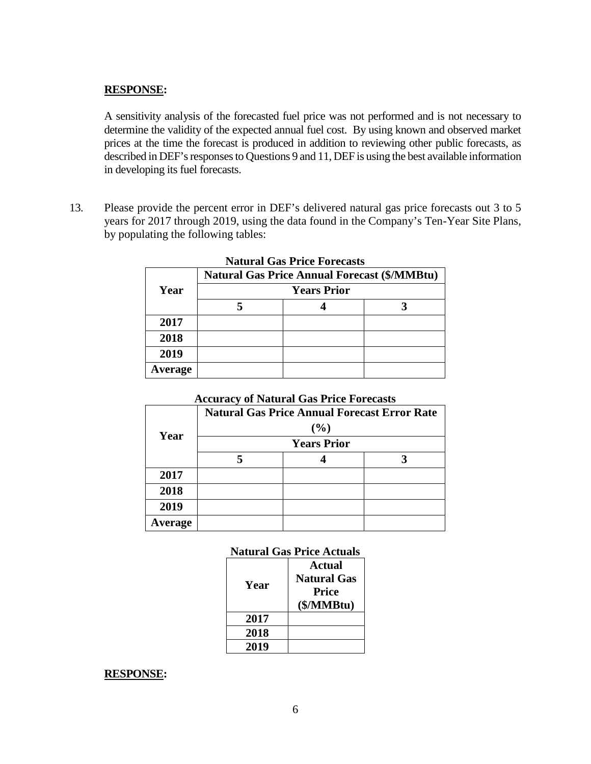### **RESPONSE:**

A sensitivity analysis of the forecasted fuel price was not performed and is not necessary to determine the validity of the expected annual fuel cost. By using known and observed market prices at the time the forecast is produced in addition to reviewing other public forecasts, as described in DEF's responses to Questions 9 and 11, DEF is using the best available information in developing its fuel forecasts.

13. Please provide the percent error in DEF's delivered natural gas price forecasts out 3 to 5 years for 2017 through 2019, using the data found in the Company's Ten-Year Site Plans, by populating the following tables:

| INAULTAI VIAS FITICE FOTECASIS |                                                                           |  |  |  |
|--------------------------------|---------------------------------------------------------------------------|--|--|--|
|                                | <b>Natural Gas Price Annual Forecast (\$/MMBtu)</b><br><b>Years Prior</b> |  |  |  |
| Year                           |                                                                           |  |  |  |
|                                |                                                                           |  |  |  |
| 2017                           |                                                                           |  |  |  |
| 2018                           |                                                                           |  |  |  |
| 2019                           |                                                                           |  |  |  |
| <b>Average</b>                 |                                                                           |  |  |  |

# **Natural Gas Price Forecasts**

### **Accuracy of Natural Gas Price Forecasts**

| Year    | <b>Natural Gas Price Annual Forecast Error Rate</b><br>(%) |  |  |
|---------|------------------------------------------------------------|--|--|
|         | <b>Years Prior</b>                                         |  |  |
|         |                                                            |  |  |
| 2017    |                                                            |  |  |
| 2018    |                                                            |  |  |
| 2019    |                                                            |  |  |
| Average |                                                            |  |  |

### **Natural Gas Price Actuals**

| Year | Actual<br><b>Natural Gas</b><br>Price<br>(\$/MMBtu) |
|------|-----------------------------------------------------|
| 2017 |                                                     |
| 2018 |                                                     |
| 2019 |                                                     |

#### **RESPONSE:**